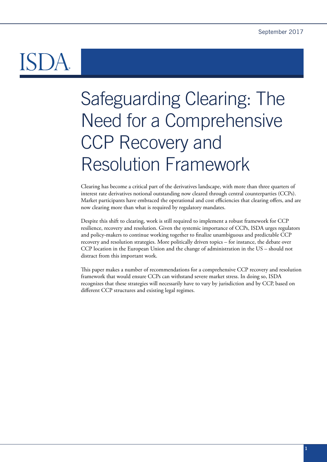# Safeguarding Clearing: The Need for a Comprehensive CCP Recovery and Resolution Framework

Clearing has become a critical part of the derivatives landscape, with more than three quarters of interest rate derivatives notional outstanding now cleared through central counterparties (CCPs). Market participants have embraced the operational and cost efficiencies that clearing offers, and are now clearing more than what is required by regulatory mandates.

Despite this shift to clearing, work is still required to implement a robust framework for CCP resilience, recovery and resolution. Given the systemic importance of CCPs, ISDA urges regulators and policy-makers to continue working together to finalize unambiguous and predictable CCP recovery and resolution strategies. More politically driven topics – for instance, the debate over CCP location in the European Union and the change of administration in the US – should not distract from this important work.

This paper makes a number of recommendations for a comprehensive CCP recovery and resolution framework that would ensure CCPs can withstand severe market stress. In doing so, ISDA recognizes that these strategies will necessarily have to vary by jurisdiction and by CCP, based on different CCP structures and existing legal regimes.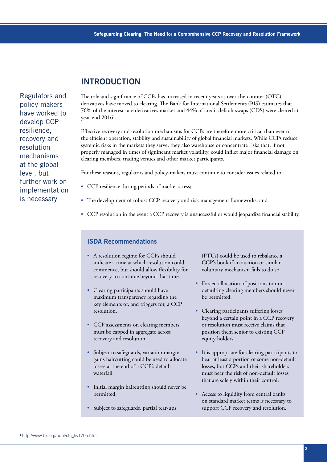# **INTRODUCTION**

Regulators and policy-makers have worked to develop CCP resilience, recovery and resolution mechanisms at the global level, but further work on implementation is necessary

The role and significance of CCPs has increased in recent years as over-the-counter (OTC) derivatives have moved to clearing. The Bank for International Settlements (BIS) estimates that 76% of the interest rate derivatives market and 44% of credit default swaps (CDS) were cleared at year-end  $2016<sup>1</sup>$ .

Effective recovery and resolution mechanisms for CCPs are therefore more critical than ever to the efficient operation, stability and sustainability of global financial markets. While CCPs reduce systemic risks in the markets they serve, they also warehouse or concentrate risks that, if not properly managed in times of significant market volatility, could inflict major financial damage on clearing members, trading venues and other market participants.

For these reasons, regulators and policy-makers must continue to consider issues related to:

- CCP resilience during periods of market stress;
- The development of robust CCP recovery and risk management frameworks; and
- CCP resolution in the event a CCP recovery is unsuccessful or would jeopardize financial stability.

#### ISDA Recommendations

- A resolution regime for CCPs should indicate a time at which resolution could commence, but should allow flexibility for recovery to continue beyond that time.
- Clearing participants should have maximum transparency regarding the key elements of, and triggers for, a CCP resolution.
- CCP assessments on clearing members must be capped in aggregate across recovery and resolution.
- Subject to safeguards, variation margin gains haircutting could be used to allocate losses at the end of a CCP's default waterfall.
- Initial margin haircutting should never be permitted.
- Subject to safeguards, partial tear-ups

(PTUs) could be used to rebalance a CCP's book if an auction or similar voluntary mechanism fails to do so.

- Forced allocation of positions to nondefaulting clearing members should never be permitted.
- Clearing participants suffering losses beyond a certain point in a CCP recovery or resolution must receive claims that position them senior to existing CCP equity holders.
- It is appropriate for clearing participants to bear at least a portion of some non-default losses, but CCPs and their shareholders must bear the risk of non-default losses that are solely within their control.
- Access to liquidity from central banks on standard market terms is necessary to support CCP recovery and resolution.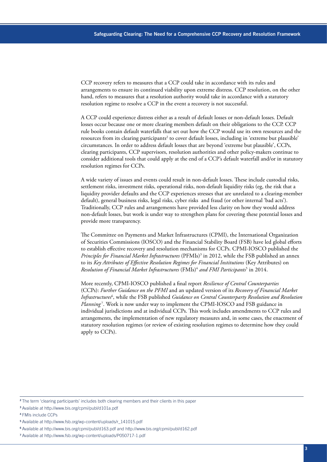CCP recovery refers to measures that a CCP could take in accordance with its rules and arrangements to ensure its continued viability upon extreme distress. CCP resolution, on the other hand, refers to measures that a resolution authority would take in accordance with a statutory resolution regime to resolve a CCP in the event a recovery is not successful.

A CCP could experience distress either as a result of default losses or non-default losses. Default losses occur because one or more clearing members default on their obligations to the CCP. CCP rule books contain default waterfalls that set out how the CCP would use its own resources and the resources from its clearing participants<sup>2</sup> to cover default losses, including in 'extreme but plausible' circumstances. In order to address default losses that are beyond 'extreme but plausible', CCPs, clearing participants, CCP supervisors, resolution authorities and other policy-makers continue to consider additional tools that could apply at the end of a CCP's default waterfall and/or in statutory resolution regimes for CCPs.

A wide variety of issues and events could result in non-default losses. These include custodial risks, settlement risks, investment risks, operational risks, non-default liquidity risks (eg, the risk that a liquidity provider defaults and the CCP experiences stresses that are unrelated to a clearing-member default), general business risks, legal risks, cyber risks and fraud (or other internal 'bad acts'). Traditionally, CCP rules and arrangements have provided less clarity on how they would address non-default losses, but work is under way to strengthen plans for covering these potential losses and provide more transparency.

The Committee on Payments and Market Infrastructures (CPMI), the International Organization of Securities Commissions (IOSCO) and the Financial Stability Board (FSB) have led global efforts to establish effective recovery and resolution mechanisms for CCPs. CPMI-IOSCO published the *Principles for Financial Market Infrastructures* (PFMIs)3 in 2012, while the FSB published an annex to its *Key Attributes of Effective Resolution Regimes for Financial Institutions* (Key Attributes) on *Resolution of Financial Market Infrastructures* (FMIs)4 *and FMI Participants*<sup>5</sup> in 2014.

More recently, CPMI-IOSCO published a final report *Resilience of Central Counterparties* (CCPs): *Further Guidance on the PFMI* and an updated version of its *Recovery of Financial Market Infrastructures*<sup>6</sup> , while the FSB published *Guidance on Central Counterparty Resolution and Resolution Planning* <sup>7</sup> . Work is now under way to implement the CPMI-IOSCO and FSB guidance in individual jurisdictions and at individual CCPs. This work includes amendments to CCP rules and arrangements, the implementation of new regulatory measures and, in some cases, the enactment of statutory resolution regimes (or review of existing resolution regimes to determine how they could apply to CCPs).

<sup>&</sup>lt;sup>2</sup>The term 'clearing participants' includes both clearing members and their clients in this paper

<sup>3</sup>Available at <http://www.bis.org/cpmi/publ/d101a.pdf>

<sup>4</sup>FMIs include CCPs

<sup>5</sup>Available at [http://www.fsb.org/wp-content/uploads/r\\_141015.pdf](http://www.fsb.org/wp-content/uploads/r_141015.pdf)

<sup>6</sup>Available at <http://www.bis.org/cpmi/publ/d163.pdf> and<http://www.bis.org/cpmi/publ/d162.pdf>

<sup>7</sup> Available at <http://www.fsb.org/wp-content/uploads/P050717-1.pdf>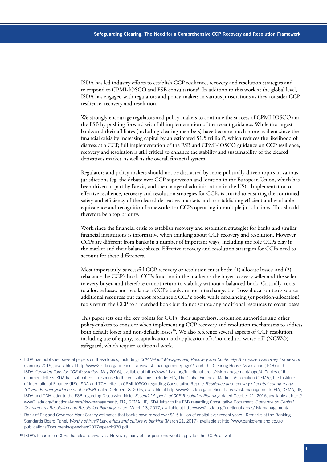ISDA has led industry efforts to establish CCP resilience, recovery and resolution strategies and to respond to CPMI-IOSCO and FSB consultations<sup>8</sup>. In addition to this work at the global level, ISDA has engaged with regulators and policy-makers in various jurisdictions as they consider CCP resilience, recovery and resolution.

We strongly encourage regulators and policy-makers to continue the success of CPMI-IOSCO and the FSB by pushing forward with full implementation of the recent guidance. While the largest banks and their affiliates (including clearing members) have become much more resilient since the financial crisis by increasing capital by an estimated \$1.5 trillion<sup>9</sup>, which reduces the likelihood of distress at a CCP, full implementation of the FSB and CPMI-IOSCO guidance on CCP resilience, recovery and resolution is still critical to enhance the stability and sustainability of the cleared derivatives market, as well as the overall financial system.

Regulators and policy-makers should not be distracted by more politically driven topics in various jurisdictions (eg, the debate over CCP supervision and location in the European Union, which has been driven in part by Brexit, and the change of administration in the US). Implementation of effective resilience, recovery and resolution strategies for CCPs is crucial to ensuring the continued safety and efficiency of the cleared derivatives markets and to establishing efficient and workable equivalence and recognition frameworks for CCPs operating in multiple jurisdictions. This should therefore be a top priority.

Work since the financial crisis to establish recovery and resolution strategies for banks and similar financial institutions is informative when thinking about CCP recovery and resolution. However, CCPs are different from banks in a number of important ways, including the role CCPs play in the market and their balance sheets. Effective recovery and resolution strategies for CCPs need to account for these differences.

Most importantly, successful CCP recovery or resolution must both: (1) allocate losses; and (2) rebalance the CCP's book. CCPs function in the market as the buyer to every seller and the seller to every buyer, and therefore cannot return to viability without a balanced book. Critically, tools to allocate losses and rebalance a CCP's book are not interchangeable. Loss-allocation tools source additional resources but cannot rebalance a CCP's book, while rebalancing (or position-allocation) tools return the CCP to a matched book but do not source any additional resources to cover losses.

This paper sets out the key points for CCPs, their supervisors, resolution authorities and other policy-makers to consider when implementing CCP recovery and resolution mechanisms to address both default losses and non-default losses<sup>10</sup>. We also reference several aspects of CCP resolution, including use of equity, recapitalization and application of a 'no-creditor-worse-off' (NCWO) safeguard, which require additional work.

- <sup>8</sup>ISDA has published several papers on these topics, including: *CCP Default Management, Recovery and Continuity: A Proposed Recovery Framework* (January 2015), available at [http://www2.isda.org/functional-areas/risk-management/page/2,](http://www2.isda.org/functional-areas/risk-management/page/2) and The Clearing House Association (TCH) and ISDA *Considerations for CCP Resolution* (May 2016), available at <http://www2.isda.org/functional-areas/risk-management/page/4>. Copies of the comment letters ISDA has submitted in response to the consultations include: FIA, The Global Financial Markets Association (GFMA), the Institute of International Finance (IIF), ISDA and TCH letter to CPMI-IOSCO regarding Consultative Report: *Resilience and recovery of central counterparties (CCPs): Further guidance on the PFMI*, dated October 18, 2016, available at [http://www2.isda.org/functional-areas/risk-management/;](http://www2.isda.org/functional-areas/risk-management/) FIA, GFMA, IIF, ISDA and TCH letter to the FSB regarding Discussion Note: *Essential Aspects of CCP Resolution Planning*, dated October 21, 2016, available at [http://](http://www2.isda.org/functional-areas/risk-management/) [www2.isda.org/functional-areas/risk-management/](http://www2.isda.org/functional-areas/risk-management/); FIA, GFMA, IIF, ISDA letter to the FSB regarding Consultative Document: *Guidance on Central Counterparty Resolution and Resolution Planning*, dated March 13, 2017, available at <http://www2.isda.org/functional-areas/risk-management/>
- Bank of England Governor Mark Carney estimates that banks have raised over \$1.5 trillion of capital over recent years. Remarks at the Banking Standards Board Panel, *Worthy of trust? Law, ethics and culture in banking* (March 21, 2017), available at [http://www.bankofengland.co.uk/](http://www.bankofengland.co.uk/publications/Documents/speeches/2017/speech970.pdf) [publications/Documents/speeches/2017/speech970.pdf](http://www.bankofengland.co.uk/publications/Documents/speeches/2017/speech970.pdf)
- <sup>10</sup> ISDA's focus is on CCPs that clear derivatives. However, many of our positions would apply to other CCPs as well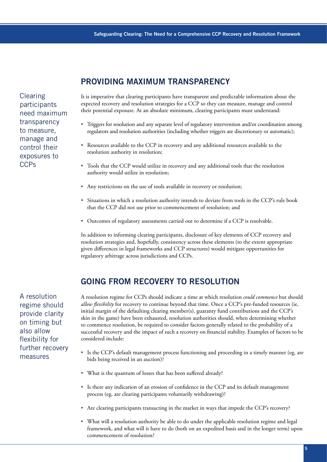Clearing participants need maximum transparency to measure, manage and control their exposures to CCPs

# **PROVIDING MAXIMUM TRANSPARENCY**

It is imperative that clearing participants have transparent and predictable information about the expected recovery and resolution strategies for a CCP so they can measure, manage and control their potential exposure. At an absolute minimum, clearing participants must understand:

- Triggers for resolution and any separate level of regulatory intervention and/or coordination among regulators and resolution authorities (including whether triggers are discretionary or automatic);
- Resources available to the CCP in recovery and any additional resources available to the resolution authority in resolution;
- Tools that the CCP would utilize in recovery and any additional tools that the resolution authority would utilize in resolution;
- Any restrictions on the use of tools available in recovery or resolution;
- Situations in which a resolution authority intends to deviate from tools in the CCP's rule book that the CCP did not use prior to commencement of resolution; and
- Outcomes of regulatory assessments carried out to determine if a CCP is resolvable.

In addition to informing clearing participants, disclosure of key elements of CCP recovery and resolution strategies and, hopefully, consistency across these elements (to the extent appropriate given differences in legal frameworks and CCP structures) would mitigate opportunities for regulatory arbitrage across jurisdictions and CCPs.

# **GOING FROM RECOVERY TO RESOLUTION**

A resolution regime should provide clarity on timing but also allow flexibility for further recovery measures

A resolution regime for CCPs should indicate a time at which resolution *could commence* but should *allow flexibility* for recovery to continue beyond that time. Once a CCP's pre-funded resources (ie, initial margin of the defaulting clearing member(s), guaranty fund contributions and the CCP's skin in the game) have been exhausted, resolution authorities should, when determining whether to commence resolution, be required to consider factors generally related to the probability of a successful recovery and the impact of such a recovery on financial stability. Examples of factors to be considered include:

- Is the CCP's default management process functioning and proceeding in a timely manner (eg, are bids being received in an auction)?
- What is the quantum of losses that has been suffered already?
- Is there any indication of an erosion of confidence in the CCP and its default management process (eg, are clearing participants voluntarily withdrawing)?
- Are clearing participants transacting in the market in ways that impede the CCP's recovery?
- What will a resolution authority be able to do under the applicable resolution regime and legal framework, and what will it have to do (both on an expedited basis and in the longer term) upon commencement of resolution?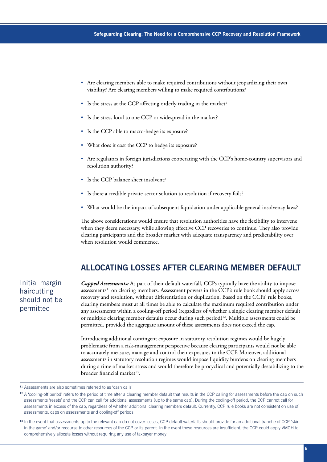- Are clearing members able to make required contributions without jeopardizing their own viability? Are clearing members willing to make required contributions?
- Is the stress at the CCP affecting orderly trading in the market?
- Is the stress local to one CCP or widespread in the market?
- Is the CCP able to macro-hedge its exposure?
- What does it cost the CCP to hedge its exposure?
- Are regulators in foreign jurisdictions cooperating with the CCP's home-country supervisors and resolution authority?
- Is the CCP balance sheet insolvent?
- Is there a credible private-sector solution to resolution if recovery fails?
- What would be the impact of subsequent liquidation under applicable general insolvency laws?

The above considerations would ensure that resolution authorities have the flexibility to intervene when they deem necessary, while allowing effective CCP recoveries to continue. They also provide clearing participants and the broader market with adequate transparency and predictability over when resolution would commence.

### **ALLOCATING LOSSES AFTER CLEARING MEMBER DEFAULT**

Initial margin haircutting should not be permitted

*Capped Assessments:* As part of their default waterfall, CCPs typically have the ability to impose assessments<sup>11</sup> on clearing members. Assessment powers in the CCP's rule book should apply across recovery and resolution, without differentiation or duplication. Based on the CCPs' rule books, clearing members must at all times be able to calculate the maximum required contribution under any assessments within a cooling-off period (regardless of whether a single clearing member default or multiple clearing member defaults occur during such period)12. Multiple assessments could be permitted, provided the aggregate amount of these assessments does not exceed the cap.

Introducing additional contingent exposure in statutory resolution regimes would be hugely problematic from a risk-management perspective because clearing participants would not be able to accurately measure, manage and control their exposures to the CCP. Moreover, additional assessments in statutory resolution regimes would impose liquidity burdens on clearing members during a time of market stress and would therefore be procyclical and potentially destabilizing to the broader financial market $^{13}$ .

<sup>11</sup> Assessments are also sometimes referred to as 'cash calls'

<sup>&</sup>lt;sup>12</sup> A 'cooling-off period' refers to the period of time after a clearing member default that results in the CCP calling for assessments before the cap on such assessments 'resets' and the CCP can call for additional assessments (up to the same cap). During the cooling-off period, the CCP cannot call for assessments in excess of the cap, regardless of whether additional clearing members default. Currently, CCP rule books are not consistent on use of assessments, caps on assessments and cooling-off periods

<sup>13</sup> In the event that assessments up to the relevant cap do not cover losses, CCP default waterfalls should provide for an additional tranche of CCP 'skin in the game' and/or recourse to other resources of the CCP or its parent. In the event these resources are insufficient, the CCP could apply VMGH to comprehensively allocate losses without requiring any use of taxpayer money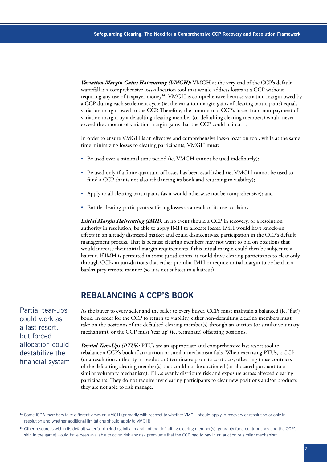*Variation Margin Gains Haircutting (VMGH):* VMGH at the very end of the CCP's default waterfall is a comprehensive loss-allocation tool that would address losses at a CCP without requiring any use of taxpayer money<sup>14</sup>. VMGH is comprehensive because variation margin owed by a CCP during each settlement cycle (ie, the variation margin gains of clearing participants) equals variation margin owed to the CCP. Therefore, the amount of a CCP's losses from non-payment of variation margin by a defaulting clearing member (or defaulting clearing members) would never exceed the amount of variation margin gains that the CCP could haircut<sup>15</sup>.

In order to ensure VMGH is an effective and comprehensive loss-allocation tool, while at the same time minimizing losses to clearing participants, VMGH must:

- Be used over a minimal time period (ie, VMGH cannot be used indefinitely);
- Be used only if a finite quantum of losses has been established (ie, VMGH cannot be used to fund a CCP that is not also rebalancing its book and returning to viability);
- Apply to all clearing participants (as it would otherwise not be comprehensive); and
- Entitle clearing participants suffering losses as a result of its use to claims.

*Initial Margin Haircutting (IMH):* In no event should a CCP in recovery, or a resolution authority in resolution, be able to apply IMH to allocate losses. IMH would have knock-on effects in an already distressed market and could disincentivize participation in the CCP's default management process. That is because clearing members may not want to bid on positions that would increase their initial margin requirements if this initial margin could then be subject to a haircut. If IMH is permitted in some jurisdictions, it could drive clearing participants to clear only through CCPs in jurisdictions that either prohibit IMH or require initial margin to be held in a bankruptcy remote manner (so it is not subject to a haircut).

#### **REBALANCING A CCP'S BOOK**

Partial tear-ups could work as a last resort, but forced allocation could destabilize the financial system As the buyer to every seller and the seller to every buyer, CCPs must maintain a balanced (ie, 'flat') book. In order for the CCP to return to viability, either non-defaulting clearing members must take on the positions of the defaulted clearing member(s) through an auction (or similar voluntary mechanism), or the CCP must 'tear up' (ie, terminate) offsetting positions.

*Partial Tear-Ups (PTUs):* PTUs are an appropriate and comprehensive last resort tool to rebalance a CCP's book if an auction or similar mechanism fails. When exercising PTUs, a CCP (or a resolution authority in resolution) terminates pro rata contracts, offsetting those contracts of the defaulting clearing member(s) that could not be auctioned (or allocated pursuant to a similar voluntary mechanism). PTUs evenly distribute risk and exposure across affected clearing participants. They do not require any clearing participants to clear new positions and/or products they are not able to risk manage.

<sup>14</sup> Some ISDA members take different views on VMGH (primarily with respect to whether VMGH should apply in recovery or resolution or only in resolution and whether additional limitations should apply to VMGH)

<sup>15</sup>Other resources within its default waterfall (including initial margin of the defaulting clearing member(s), guaranty fund contributions and the CCP's skin in the game) would have been available to cover risk any risk premiums that the CCP had to pay in an auction or similar mechanism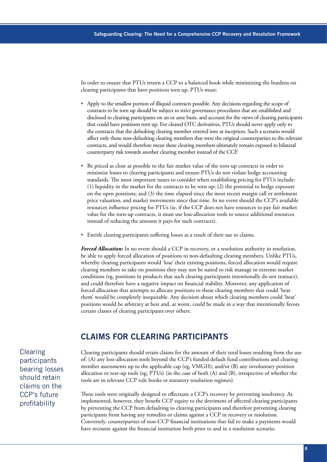In order to ensure that PTUs return a CCP to a balanced book while minimizing the burdens on clearing participants that have positions torn up, PTUs must:

- Apply to the smallest portion of illiquid contracts possible. Any decisions regarding the scope of contracts to be torn up should be subject to strict governance procedures that are established and disclosed to clearing participants on an ex ante basis, and account for the views of clearing participants that could have positions torn up. For cleared OTC derivatives, PTUs should never apply only to the contracts that the defaulting clearing member entered into at inception. Such a scenario would affect only those non-defaulting clearing members that were the original counterparties to the relevant contracts, and would therefore mean these clearing members ultimately remain exposed to bilateral counterparty risk towards another clearing member instead of the CCP.
- Be priced as close as possible to the fair market value of the torn-up contracts in order to minimize losses to clearing participants and ensure PTUs do not violate hedge accounting standards. The most important issues to consider when establishing pricing for PTUs include: (1) liquidity in the market for the contracts to be torn up; (2) the potential to hedge exposure on the open positions; and (3) the time elapsed since the most recent margin call or settlement price valuation, and market movements since that time. In no event should the CCP's available resources influence pricing for PTUs (ie, if the CCP does not have resources to pay fair market value for the torn-up contracts, it must use loss-allocation tools to source additional resources instead of reducing the amount it pays for such contracts).
- Entitle clearing participants suffering losses as a result of their use to claims.

*Forced Allocation:* In no event should a CCP in recovery, or a resolution authority in resolution, be able to apply forced allocation of positions to non-defaulting clearing members. Unlike PTUs, whereby clearing participants would 'lose' their existing positions, forced allocation would require clearing members to take on positions they may not be suited to risk manage in extreme market conditions (eg, positions in products that such clearing participants intentionally do not transact), and could therefore have a negative impact on financial stability. Moreover, any application of forced allocation that attempts to allocate positions to those clearing members that could 'bear them' would be completely inequitable. Any decision about which clearing members could 'bear' positions would be arbitrary at best and, at worst, could be made in a way that intentionally favors certain classes of clearing participants over others.

#### **CLAIMS FOR CLEARING PARTICIPANTS**

**Clearing** participants bearing losses should retain claims on the CCP's future profitability

Clearing participants should retain claims for the amount of their total losses resulting from the use of: (A) any loss-allocation tools beyond the CCP's funded default fund contributions and clearing member assessments up to the applicable cap (eg, VMGH); and/or (B) any involuntary position allocation or tear-up tools (eg, PTUs) (in the case of both (A) and (B), irrespective of whether the tools are in relevant CCP rule books or statutory resolution regimes).

These tools were originally designed to effectuate a CCP's recovery by preventing insolvency. As implemented, however, they benefit CCP equity to the detriment of affected clearing participants by preventing the CCP from defaulting to clearing participants and therefore preventing clearing participants from having any remedies or claims against a CCP in recovery or resolution. Conversely, counterparties of non-CCP financial institutions that fail to make a payments would have recourse against the financial institution both prior to and in a resolution scenario.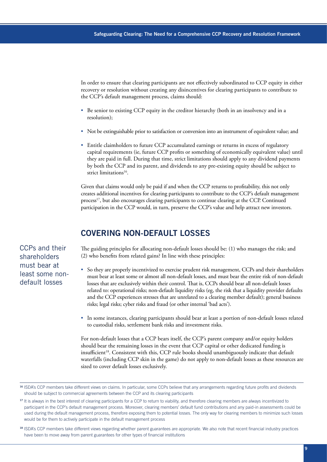In order to ensure that clearing participants are not effectively subordinated to CCP equity in either recovery or resolution without creating any disincentives for clearing participants to contribute to the CCP's default management process, claims should:

- Be senior to existing CCP equity in the creditor hierarchy (both in an insolvency and in a resolution);
- Not be extinguishable prior to satisfaction or conversion into an instrument of equivalent value; and
- Entitle claimholders to future CCP accumulated earnings or returns in excess of regulatory capital requirements (ie, future CCP profits or something of economically equivalent value) until they are paid in full. During that time, strict limitations should apply to any dividend payments by both the CCP and its parent, and dividends to any pre-existing equity should be subject to strict limitations<sup>16</sup>.

Given that claims would only be paid if and when the CCP returns to profitability, this not only creates additional incentives for clearing participants to contribute to the CCP's default management process<sup>17</sup>, but also encourages clearing participants to continue clearing at the CCP. Continued participation in the CCP would, in turn, preserve the CCP's value and help attract new investors.

# **COVERING NON-DEFAULT LOSSES**

The guiding principles for allocating non-default losses should be: (1) who manages the risk; and (2) who benefits from related gains? In line with these principles:

- So they are properly incentivized to exercise prudent risk management, CCPs and their shareholders must bear at least some or almost all non-default losses, and must bear the entire risk of non-default losses that are exclusively within their control. That is, CCPs should bear all non-default losses related to: operational risks; non-default liquidity risks (eg, the risk that a liquidity provider defaults and the CCP experiences stresses that are unrelated to a clearing member default); general business risks; legal risks; cyber risks and fraud (or other internal 'bad acts').
- In some instances, clearing participants should bear at least a portion of non-default losses related to custodial risks, settlement bank risks and investment risks.

For non-default losses that a CCP bears itself, the CCP's parent company and/or equity holders should bear the remaining losses in the event that CCP capital or other dedicated funding is insufficient<sup>18</sup>. Consistent with this, CCP rule books should unambiguously indicate that default waterfalls (including CCP skin in the game) do not apply to non-default losses as these resources are sized to cover default losses exclusively.

18 ISDA's CCP members take different views regarding whether parent guarantees are appropriate. We also note that recent financial industry practices have been to move away from parent guarantees for other types of financial institutions

CCPs and their shareholders must bear at least some nondefault losses

<sup>16</sup> ISDA's CCP members take different views on claims. In particular, some CCPs believe that any arrangements regarding future profits and dividends should be subject to commercial agreements between the CCP and its clearing participants

<sup>&</sup>lt;sup>17</sup> It is always in the best interest of clearing participants for a CCP to return to viability, and therefore clearing members are always incentivized to participant in the CCP's default management process. Moreover, clearing members' default fund contributions and any paid-in assessments could be used during the default management process, therefore exposing them to potential losses. The only way for clearing members to minimize such losses would be for them to actively participate in the default management process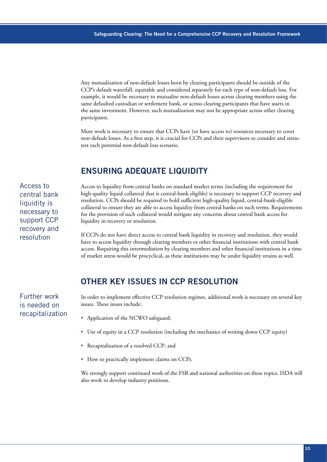Any mutualization of non-default losses born by clearing participants should be outside of the CCP's default waterfall, equitable and considered separately for each type of non-default loss. For example, it would be necessary to mutualize non-default losses across clearing members using the same defaulted custodian or settlement bank, or across clearing participants that have assets in the same investment. However, such mutualization may not be appropriate across other clearing participants.

More work is necessary to ensure that CCPs have (or have access to) resources necessary to cover non-default losses. As a first step, it is crucial for CCPs and their supervisors to consider and stresstest each potential non-default loss scenario.

# **ENSURING ADEQUATE LIQUIDITY**

Access to central bank liquidity is necessary to support CCP recovery and resolution

Further work is needed on recapitalization Access to liquidity from central banks on standard market terms (including the requirement for high-quality liquid collateral that is central-bank eligible) is necessary to support CCP recovery and resolution. CCPs should be required to hold sufficient high-quality liquid, central-bank-eligible collateral to ensure they are able to access liquidity from central banks on such terms. Requirements for the provision of such collateral would mitigate any concerns about central bank access for liquidity in recovery or resolution.

If CCPs do not have direct access to central bank liquidity in recovery and resolution, they would have to access liquidity through clearing members or other financial institutions with central bank access. Requiring this intermediation by clearing members and other financial institutions in a time of market stress would be procyclical, as these institutions may be under liquidity strains as well.

# **OTHER KEY ISSUES IN CCP RESOLUTION**

In order to implement effective CCP resolution regimes, additional work is necessary on several key issues. These issues include:

- Application of the NCWO safeguard;
- Use of equity in a CCP resolution (including the mechanics of writing down CCP equity)
- Recapitalization of a resolved CCP; and
- How to practically implement claims on CCPs.

We strongly support continued work of the FSB and national authorities on these topics. ISDA will also work to develop industry positions.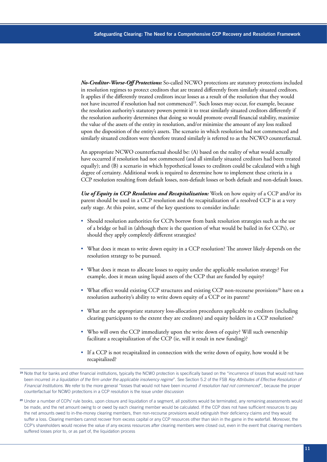*No-Creditor-Worse-Off Protections:* So-called NCWO protections are statutory protections included in resolution regimes to protect creditors that are treated differently from similarly situated creditors. It applies if the differently treated creditors incur losses as a result of the resolution that they would not have incurred if resolution had not commenced<sup>19</sup>. Such losses may occur, for example, because the resolution authority's statutory powers permit it to treat similarly situated creditors differently if the resolution authority determines that doing so would promote overall financial stability, maximize the value of the assets of the entity in resolution, and/or minimize the amount of any loss realized upon the disposition of the entity's assets. The scenario in which resolution had not commenced and similarly situated creditors were therefore treated similarly is referred to as the NCWO counterfactual.

An appropriate NCWO counterfactual should be: (A) based on the reality of what would actually have occurred if resolution had not commenced (and all similarly situated creditors had been treated equally); and (B) a scenario in which hypothetical losses to creditors could be calculated with a high degree of certainty. Additional work is required to determine how to implement these criteria in a CCP resolution resulting from default losses, non-default losses or both default and non-default losses.

*Use of Equity in CCP Resolution and Recapitalization:* Work on how equity of a CCP and/or its parent should be used in a CCP resolution and the recapitalization of a resolved CCP is at a very early stage. At this point, some of the key questions to consider include:

- Should resolution authorities for CCPs borrow from bank resolution strategies such as the use of a bridge or bail in (although there is the question of what would be bailed in for CCPs), or should they apply completely different strategies?
- What does it mean to write down equity in a CCP resolution? The answer likely depends on the resolution strategy to be pursued.
- What does it mean to allocate losses to equity under the applicable resolution strategy? For example, does it mean using liquid assets of the CCP that are funded by equity?
- What effect would existing CCP structures and existing CCP non-recourse provisions<sup>20</sup> have on a resolution authority's ability to write down equity of a CCP or its parent?
- What are the appropriate statutory loss-allocation procedures applicable to creditors (including clearing participants to the extent they are creditors) and equity holders in a CCP resolution?
- Who will own the CCP immediately upon the write down of equity? Will such ownership facilitate a recapitalization of the CCP (ie, will it result in new funding)?
- If a CCP is not recapitalized in connection with the write down of equity, how would it be recapitalized?

<sup>&</sup>lt;sup>19</sup> Note that for banks and other financial institutions, typically the NCWO protection is specifically based on the "incurrence of losses that would not have been incurred *in a liquidation of the firm under the applicable insolvency regime*". See Section 5.2 of the FSB *Key Attributes of Effective Resolution of Financial Institutions*. We refer to the more general "losses that would not have been incurred *if resolution had not commenced*", because the proper counterfactual for NCWO protections in a CCP resolution is the issue under discussion

<sup>&</sup>lt;sup>20</sup> Under a number of CCPs' rule books, upon closure and liquidation of a segment, all positions would be terminated, any remaining assessments would be made, and the net amount owing to or owed by each clearing member would be calculated. If the CCP does not have sufficient resources to pay the net amounts owed to in-the-money clearing members, then non-recourse provisions would extinguish their deficiency claims and they would suffer a loss. Clearing members cannot recover from excess capital or any CCP resources other than skin in the game in the waterfall. Moreover, the CCP's shareholders would receive the value of any excess resources after clearing members were closed out, even in the event that clearing members suffered losses prior to, or as part of, the liquidation process